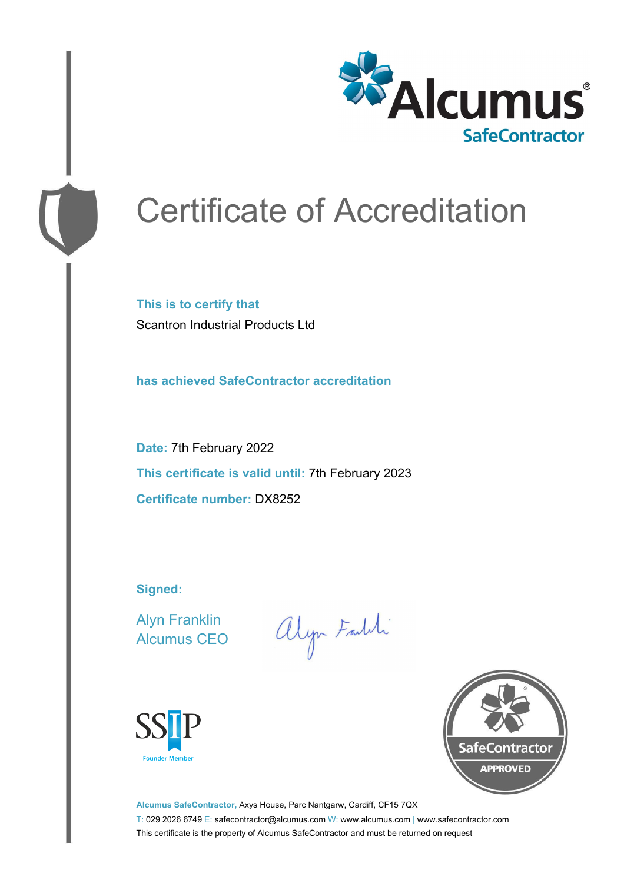

# Certificate of Accreditation

**This is to certify that** Scantron Industrial Products Ltd

**has achieved SafeContractor accreditation**

**Date:** 7th February 2022 **This certificate is valid until:** 7th February 2023 **Certificate number:** DX8252

**Signed:**

Alyn Franklin Alcumus CEO

alyn Faith





**Alcumus SafeContractor,** Axys House, Parc Nantgarw, Cardiff, CF15 7QX T: 029 2026 6749 E: safecontractor@alcumus.com W: www.alcumus.com | www.safecontractor.com This certificate is the property of Alcumus SafeContractor and must be returned on request